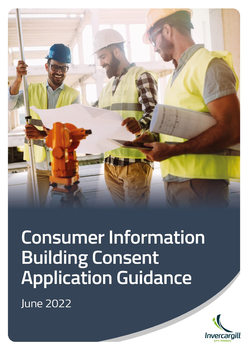

# **Consumer Information Building Consent Application Guidance**

**June 2022** 

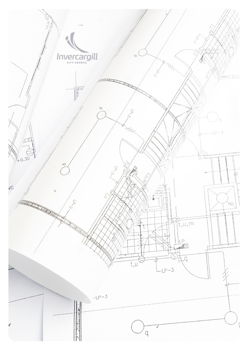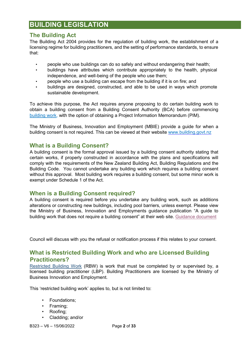# **BUILDING LEGISLATION**

## **The Building Act**

The Building Act 2004 provides for the regulation of building work, the establishment of a licensing regime for building practitioners, and the setting of performance standards, to ensure that:

- people who use buildings can do so safely and without endangering their health;
- buildings have attributes which contribute appropriately to the health, physical independence, and well-being of the people who use them;
- people who use a building can escape from the building if it is on fire; and
- buildings are designed, constructed, and able to be used in ways which promote sustainable development.

To achieve this purpose, the Act requires anyone proposing to do certain building work to obtain a building consent from a Building Consent Authority (BCA) before commencing [building work,](https://www.legislation.govt.nz/act/public/2004/0072/latest/DLM306054.html?search=sw_096be8ed81b79128_7_25_se&p=1&sr=1) with the option of obtaining a Project Information Memorandum (PIM).

The Ministry of Business, Innovation and Employment (MBIE) provide a guide for when a building consent is not required. This can be viewed at their website [www.building.govt.nz](http://www.building.govt.nz/) 

#### **What is a Building Consent?**

A building consent is the formal approval issued by a building consent authority stating that certain works, if properly constructed in accordance with the plans and specifications will comply with the requirements of the New Zealand Building Act, Building Regulations and the Building Code. You cannot undertake any building work which requires a building consent without this approval. Most building work requires a building consent, but some minor work is exempt under Schedule 1 of the Act.

## **When is a Building Consent required?**

A building consent is required before you undertake any building work, such as additions alterations or constructing new buildings, including pool barriers, unless exempt. Please view the Ministry of Business, Innovation and Employments guidance publication "A guide to building work that does not require a building consent" at their web site. [Guidance document](https://www.building.govt.nz/assets/Uploads/projects-and-consents/building-work-consent-not-required-guidance.pdf)

Council will discuss with you the refusal or notification process if this relates to your consent.

## **What is Restricted Building Work and who are Licensed Building Practitioners?**

[Restricted Building Work](https://www.legislation.govt.nz/regulation/public/2011/0317/latest/whole.html#DLM3985414) [\(](https://www.legislation.govt.nz/regulation/public/2011/0317/latest/whole.html#DLM3985414)RBW) is work that must be completed by or supervised by, a licensed building practitioner (LBP). Building Practitioners are licensed by the Ministry of Business Innovation and Employment.

This 'restricted building work' applies to, but is not limited to:

- Foundations;
- Framing;
- Roofing;
- Cladding; and/or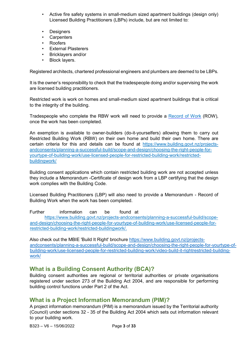- Active fire safety systems in small-medium sized apartment buildings (design only) Licensed Building Practitioners (LBPs) include, but are not limited to:
- Designers
- **Carpenters**
- Roofers
- External Plasterers
- Bricklayers and/or
- Block layers.

Registered architects, chartered professional engineers and plumbers are deemed to be LBPs.

It is the owner's responsibility to check that the tradespeople doing and/or supervising the work are licensed building practitioners.

Restricted work is work on homes and small-medium sized apartment buildings that is critical to the integrity of the building.

Tradespeople who complete the RBW work will need to provide [a](https://www.building.govt.nz/assets/Uploads/projects-and-consents/restricted-building-work/memorandum-record-of-building-work.pdf) [Record](https://www.building.govt.nz/assets/Uploads/projects-and-consents/restricted-building-work/memorandum-record-of-building-work.pdf) [of Work](https://www.building.govt.nz/assets/Uploads/projects-and-consents/restricted-building-work/memorandum-record-of-building-work.pdf) [\(R](https://www.building.govt.nz/assets/Uploads/projects-and-consents/restricted-building-work/memorandum-record-of-building-work.pdf)OW), once the work has been completed.

An exemption is available to owner-builders (do-it-yourselfers) allowing them to carry out Restricted Building Work (RBW) on their own home and build their own home. There are certain criteria for this and details can be found at [https://www.building.govt.nz/projects](https://www.building.govt.nz/projects-and-consents/planning-a-successful-build/scope-and-design/choosing-the-right-people-for-your-type-of-building-work/use-licensed-people-for-restricted-building-work/restricted-building-work/)[andconsents/planning-a-successful-build/scope-and-design/choosing-the-right-people-for](https://www.building.govt.nz/projects-and-consents/planning-a-successful-build/scope-and-design/choosing-the-right-people-for-your-type-of-building-work/use-licensed-people-for-restricted-building-work/restricted-building-work/)[yourtype-of-building-work/use-licensed-people-for-restricted-building-work/restricted](https://www.building.govt.nz/projects-and-consents/planning-a-successful-build/scope-and-design/choosing-the-right-people-for-your-type-of-building-work/use-licensed-people-for-restricted-building-work/restricted-building-work/)[buildingwork/](https://www.building.govt.nz/projects-and-consents/planning-a-successful-build/scope-and-design/choosing-the-right-people-for-your-type-of-building-work/use-licensed-people-for-restricted-building-work/restricted-building-work/)

Building consent applications which contain restricted building work are not accepted unless they include a Memorandum -Certificate of design work from a LBP certifying that the design work complies with the Building Code.

Licensed Building Practitioners (LBP) will also need to provide a Memorandum - Record of Building Work when the work has been completed.

Further information can be found at

[https://www.building.govt.nz/projects-andconsents/planning-a-successful-build/scope](https://www.building.govt.nz/projects-and-consents/planning-a-successful-build/scope-and-design/choosing-the-right-people-for-your-type-of-building-work/use-licensed-people-for-restricted-building-work/restricted-building-work/)[and-design/choosing-the-right-people-for-yourtype-of-building-work/use-licensed-people-for](https://www.building.govt.nz/projects-and-consents/planning-a-successful-build/scope-and-design/choosing-the-right-people-for-your-type-of-building-work/use-licensed-people-for-restricted-building-work/restricted-building-work/)[restricted-building-work/restricted-buildingwork/.](https://www.building.govt.nz/projects-and-consents/planning-a-successful-build/scope-and-design/choosing-the-right-people-for-your-type-of-building-work/use-licensed-people-for-restricted-building-work/restricted-building-work/)

Also check out the MBIE 'Build It Right' brochure [https://www.building.govt.nz/projects](https://www.building.govt.nz/projects-and-consents/planning-a-successful-build/scope-and-design/choosing-the-right-people-for-your-type-of-building-work/use-licensed-people-for-restricted-building-work/video-build-it-right-restricted-building-work/)[andconsents/planning-a-successful-build/scope-and-design/choosing-the-right-people-for-yourtype-of](https://www.building.govt.nz/projects-and-consents/planning-a-successful-build/scope-and-design/choosing-the-right-people-for-your-type-of-building-work/use-licensed-people-for-restricted-building-work/video-build-it-right-restricted-building-work/)[building-work/use-licensed-people-for-restricted-building-work/video-build-it-rightrestricted-building](https://www.building.govt.nz/projects-and-consents/planning-a-successful-build/scope-and-design/choosing-the-right-people-for-your-type-of-building-work/use-licensed-people-for-restricted-building-work/video-build-it-right-restricted-building-work/)[work/](https://www.building.govt.nz/projects-and-consents/planning-a-successful-build/scope-and-design/choosing-the-right-people-for-your-type-of-building-work/use-licensed-people-for-restricted-building-work/video-build-it-right-restricted-building-work/)

## **What is a Building Consent Authority (BCA)?**

Building consent authorities are regional or territorial authorities or private organisations registered under section 273 of the Building Act 2004, and are responsible for performing building control functions under Part 2 of the Act.

## **What is a Project Information Memorandum (PIM)?**

A project information memorandum (PIM) is a memorandum issued by the Territorial authority (Council) under sections 32 - 35 of the Building Act 2004 which sets out information relevant to your building work.

B323 – V6 – 15/06/2022 Page **3** of **33**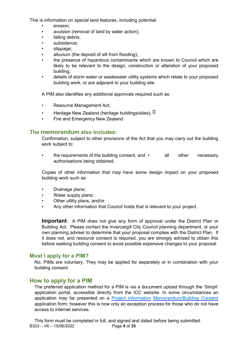This is information on special land features, including potential:

- erosion:
- avulsion (removal of land by water action);
- falling debris;
- subsidence;
- slippage:
- alluvium (the deposit of silt from flooding);
- the presence of hazardous contaminants which are known to Council which are likely to be relevant to the design, construction or alteration of your proposed building;
- details of storm water or wastewater utility systems which relate to your proposed building work, or are adjacent to your building site.

A PIM also identifies any additional approvals required such as:

- Resource Management Act;
- Heritage New Zealand (heritage buildings/sites);  $\Box$
- Fire and Emergency New Zealand

#### **The memorandum also includes:**

Confirmation, subject to other provisions of the Act that you may carry out the building work subject to:

the requirements of the building consent, and  $\cdot$  all other necessary authorisations being obtained.

Copies of other information that may have some design impact on your proposed building work such as:

- Drainage plans;
- Water supply plans;
- Other utility plans; and/or
- Any other information that Council holds that is relevant to your project.

**Important**: A PIM does not give any form of approval under the District Plan or Building Act. Please contact the Invercargill City Council planning department, or your own planning adviser to determine that your proposal complies with the District Plan. If it does not, and resource consent is required, you are strongly advised to obtain this before seeking building consent to avoid possible expensive changes to your proposal.

#### **Must I apply for a PIM?**

No, PIMs are voluntary. They may be applied for separately or in combination with your building consent.

#### **How to apply for a PIM**

The preferred application method for a PIM is via a document upload through the 'Simpli' application portal, accessible directly from the ICC website. In some circumstances an application may be presented on a [Project Information](https://icc.govt.nz/wp-content/uploads/2014/10/SBCG-BC-Application-July-2017-ICC-Enterable-ICC.pdf) [Memorandum/Building Consent](https://icc.govt.nz/wp-content/uploads/2014/10/SBCG-BC-Application-July-2017-ICC-Enterable-ICC.pdf) application form; however this is now only an exception process for those who do not have access to internet services.

B323 – V6 – 15/06/2022 Page **4** of **33** This form must be completed in full, and signed and dated before being submitted.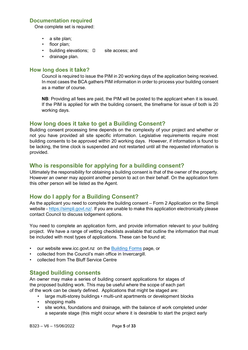#### **Documentation required**

One complete set is required:

- a site plan;
- floor plan;
- building elevations;  $\square$  site access; and
- drainage plan.

#### **How long does it take?**

Council is required to issue the PIM in 20 working days of the application being received. In most cases the BCA gathers PIM information in order to process your building consent as a matter of course.

**NB**: Providing all fees are paid, the PIM will be posted to the applicant when it is issued. If the PIM is applied for with the building consent, the timeframe for issue of both is 20 working days.

#### **How long does it take to get a Building Consent?**

Building consent processing time depends on the complexity of your project and whether or not you have provided all site specific information. Legislative requirements require most building consents to be approved within 20 working days. However, if information is found to be lacking, the time clock is suspended and not restarted until all the requested information is provided.

#### **Who is responsible for applying for a building consent?**

Ultimately the responsibility for obtaining a building consent is that of the owner of the property. However an owner may appoint another person to act on their behalf. On the application form this other person will be listed as the Agent.

## **How do I apply for a Building Consent?**

As the applicant you need to complete the building consent – Form 2 Application on the Simpli website - [https://simpli.govt.nz/.](https://simpli.govt.nz/) If you are unable to make this application electronically please contact Council to discuss lodgement options.

You need to complete an application form, and provide information relevant to your building project. We have a range of vetting checklists available that outline the information that must be included with most types of applications. These can be found at;

- our website www.icc.govt.nz on the [Building Forms](https://icc.govt.nz/building/building-forms/) [pa](https://icc.govt.nz/building/building-forms/)ge, or
- collected from the Council's main office in Invercargill.
- collected from The Bluff Service Centre

## **Staged building consents**

An owner may make a series of building consent applications for stages of the proposed building work. This may be useful where the scope of each part of the work can be clearly defined. Applications that might be staged are:

- large multi-storey buildings multi-unit apartments or development blocks
- shopping malls
- site works, foundations and drainage, with the balance of work completed under a separate stage (this might occur where it is desirable to start the project early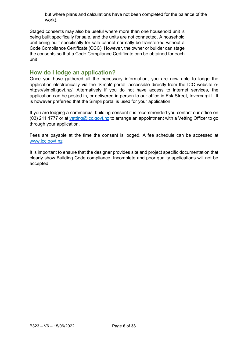but where plans and calculations have not been completed for the balance of the work).

Staged consents may also be useful where more than one household unit is being built specifically for sale, and the units are not connected. A household unit being built specifically for sale cannot normally be transferred without a Code Compliance Certificate (CCC). However, the owner or builder can stage the consents so that a Code Compliance Certificate can be obtained for each unit

#### **How do I lodge an application?**

Once you have gathered all the necessary information, you are now able to lodge the application electronically via the 'Simpli' portal, accessible directly from the ICC website or https://simpli.govt.nz/. Alternatively if you do not have access to internet services, the application can be posted in, or delivered in person to our office in Esk Street, Invercargill. It is however preferred that the Simpli portal is used for your application.

If you are lodging a commercial building consent it is recommended you contact our office on (03) 211 1777 or at vetting@icc.govt.nz to arrange an appointment with a Vetting Officer to go through your application.

Fees are payable at the time the consent is lodged. A fee schedule can be accessed at [www.icc.govt.nz](https://icc.govt.nz/wp-content/uploads/2014/10/Building-fees-2017-2018.pdf) 

It is important to ensure that the designer provides site and project specific documentation that clearly show Building Code compliance. Incomplete and poor quality applications will not be accepted.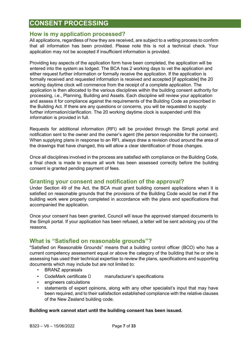# **CONSENT PROCESSING**

## **How is my application processed?**

All applications, regardless of how they are received, are subject to a vetting process to confirm that all information has been provided. Please note this is not a technical check. Your application may not be accepted if insufficient information is provided.

Providing key aspects of the application form have been completed, the application will be entered into the system as lodged. The BCA has 2 working days to vet the application and either request further information or formally receive the application. If the application is formally received and requested information is received and accepted [if applicable] the 20 working daytime clock will commence from the receipt of a complete application. The application is then allocated to the various disciplines within the building consent authority for processing, i.e., Planning, Building and Assets. Each discipline will review your application and assess it for compliance against the requirements of the Building Code as prescribed in the Building Act. If there are any questions or concerns, you will be requested to supply further information/clarification. The 20 working daytime clock is suspended until this information is provided in full.

Requests for additional information (RFI) will be provided through the Simpli portal and notification sent to the owner and the owner's agent (the person responsible for the consent). When supplying plans in response to an RFI, always draw a revision cloud around the area of the drawings that have changed, this will allow a clear identification of those changes.

Once all disciplines involved in the process are satisfied with compliance on the Building Code, a final check is made to ensure all work has been assessed correctly before the building consent is granted pending payment of fees.

#### **Granting your consent and notification of the approval?**

Under Section 49 of the Act, the BCA must grant building consent applications when it is satisfied on reasonable grounds that the provisions of the Building Code would be met if the building work were properly completed in accordance with the plans and specifications that accompanied the application.

Once your consent has been granted, Council will issue the approved stamped documents to the Simpli portal. If your application has been refused, a letter will be sent advising you of the reasons.

## **What is "Satisfied on reasonable grounds"?**

"Satisfied on Reasonable Grounds" means that a building control officer (BCO) who has a current competency assessment equal or above the category of the building that he or she is assessing has used their technical expertise to review the plans, specifications and supporting documents which may include but are not limited to:

- BRANZ appraisals
- CodeMark certificate  $\Box$  manufacturer's specifications
- engineers calculations
- statements of expert opinions, along with any other specialist's input that may have been required, and to their satisfaction established compliance with the relative clauses of the New Zealand building code.

#### **Building work cannot start until the building consent has been issued.**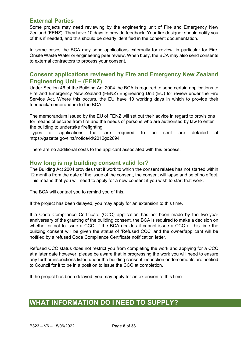## **External Parties**

Some projects may need reviewing by the engineering unit of Fire and Emergency New Zealand (FENZ). They have 10 days to provide feedback. Your fire designer should notify you of this if needed, and this should be clearly identified in the consent documentation.

In some cases the BCA may send applications externally for review, in particular for Fire, Onsite Waste Water or engineering peer review. When busy, the BCA may also send consents to external contractors to process your consent.

## **Consent applications reviewed by Fire and Emergency New Zealand Engineering Unit – (FENZ)**

Under Section 46 of the Building Act 2004 the BCA is required to send certain applications to Fire and Emergency New Zealand (FENZ) Engineering Unit (EU) for review under the Fire Service Act. Where this occurs, the EU have 10 working days in which to provide their feedback/memorandum to the BCA.

The memorandum issued by the EU of FENZ will set out their advice in regard to provisions for means of escape from fire and the needs of persons who are authorised by law to enter the building to undertake firefighting.

Types of applications that are required to be sent are detailed at https://gazette.govt.nz/notice/id/2012go2694

There are no additional costs to the applicant associated with this process.

## **How long is my building consent valid for?**

The Building Act 2004 provides that if work to which the consent relates has not started within 12 months from the date of the issue of the consent, the consent will lapse and be of no effect. This means that you will need to apply for a new consent if you wish to start that work.

The BCA will contact you to remind you of this.

If the project has been delayed, you may apply for an extension to this time.

If a Code Compliance Certificate (CCC) application has not been made by the two-year anniversary of the granting of the building consent, the BCA is required to make a decision on whether or not to issue a CCC. If the BCA decides it cannot issue a CCC at this time the building consent will be given the status of 'Refused CCC' and the owner/applicant will be notified by a refused Code Compliance Certificate notification letter.

Refused CCC status does not restrict you from completing the work and applying for a CCC at a later date however, please be aware that in progressing the work you will need to ensure any further inspections listed under the building consent inspection endorsements are notified to Council for it to be in a position to issue the CCC at completion.

If the project has been delayed, you may apply for an extension to this time.

## **WHAT INFORMATION DO I NEED TO SUPPLY?**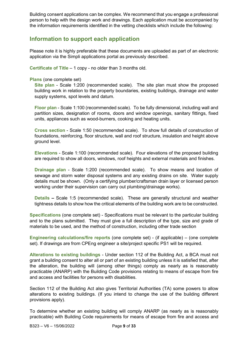Building consent applications can be complex. We recommend that you engage a professional person to help with the design work and drawings. Each application must be accompanied by the information requirements identified in the vetting checklists which include the following:

## **Information to support each application**

Please note it is highly preferable that these documents are uploaded as part of an electronic application via the Simpli applications portal as previously described.

**Certificate of Title** – 1 copy - no older than 3 months old.

#### **Plans** (one complete set)

**Site plan** - Scale 1:200 (recommended scale). The site plan must show the proposed building work in relation to the property boundaries, existing buildings, drainage and water supply systems, spot levels and datum.

**Floor plan** - Scale 1:100 (recommended scale). To be fully dimensional, including wall and partition sizes, designation of rooms, doors and window openings, sanitary fittings, fixed units, appliances such as wood-burners, cooking and heating units.

**Cross section** - Scale 1:50 (recommended scale). To show full details of construction of foundations, reinforcing, floor structure, wall and roof structure, insulation and height above ground level.

**Elevations** - Scale 1:100 (recommended scale). Four elevations of the proposed building are required to show all doors, windows, roof heights and external materials and finishes.

**Drainage plan** - Scale 1:200 (recommended scale). To show means and location of sewage and storm water disposal systems and any existing drains on site. Water supply details must be shown. (Only a certifying plumber/craftsman drain layer or licensed person working under their supervision can carry out plumbing/drainage works).

**Details –** Scale 1:5 (recommended scale). These are generally structural and weather tightness details to show how the critical elements of the building work are to be constructed.

**Specifications** (one complete set) - Specifications must be relevant to the particular building and to the plans submitted. They must give a full description of the type, size and grade of materials to be used, and the method of construction, including other trade section

**Engineering calculations/fire reports** (one complete set) - (if applicable) – (one complete set). If drawings are from CPEng engineer a site/project specific PS1 will be required.

**Alterations to existing buildings** - Under section 112 of the Building Act, a BCA must not grant a building consent to alter all or part of an existing building unless it is satisfied that, after the alteration, the building will (among other things) comply as nearly as is reasonably practicable (ANARP) with the Building Code provisions relating to means of escape from fire and access and facilities for persons with disabilities.

Section 112 of the Building Act also gives Territorial Authorities (TA) some powers to allow alterations to existing buildings. (If you intend to change the use of the building different provisions apply).

To determine whether an existing building will comply ANARP (as nearly as is reasonably practicable) with Building Code requirements for means of escape from fire and access and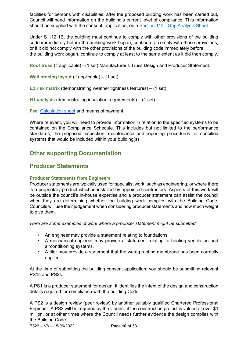facilities for persons with disabilities, after the proposed building work has been carried out, Council will need information on the building's current level of compliance. This information should be supplied with the consent application, on a [Section 112](https://icc.govt.nz/wp-content/uploads/2014/10/Gap-Analysis-Table-Section-112.pdf) [-](https://icc.govt.nz/wp-content/uploads/2014/10/Gap-Analysis-Table-Section-112.pdf) [Gap Analysis Sheet](https://icc.govt.nz/wp-content/uploads/2014/10/Gap-Analysis-Table-Section-112.pdf)

Under S 112 1B, the building must continue to comply with other provisions of the building code immediately before the building work began, continue to comply with those provisions; or if it did not comply with the other provisions of the building code immediately before the building work began, continue to comply at least to the same extent as it did then comply.

**Roof truss** (if applicable) - (1 set) Manufacturer's Truss Design and Producer Statement.

**Wall bracing layout** (if applicable) – (1 set)

**E2 risk matrix** (demonstrating weather tightness features) – (1 set)

**H1 analysis** (demonstrating insulation requirements) – (1 set)

**Fee** [Calculation sheet](https://icc.govt.nz/building/calculate-fees-project/) [an](https://icc.govt.nz/building/calculate-fees-project/)d means of payment.

Where relevant, you will need to provide information in relation to the specified systems to be contained on the Compliance Schedule. This includes but not limited to the performance standards, the proposed inspection, maintenance and reporting procedures for specified systems that would be included within your building(s)

## **Other supporting Documentation**

## **Producer Statements**

#### **Producer Statements from Engineers**

Producer statements are typically used for specialist work, such as engineering, or where there is a proprietary product which is installed by appointed contractors. Aspects of this work will be outside the council's in-house expertise and a producer statement can assist the council when they are determining whether the building work complies with the Building Code. Councils will use their judgement when considering producer statements and how much weight to give them.

*Here are some examples of work where a producer statement might be submitted:* 

- An engineer may provide a statement relating to foundations.
- A mechanical engineer may provide a statement relating to heating ventilation and airconditioning systems.
- A tiler may provide a statement that the waterproofing membrane has been correctly applied.

At the time of submitting the building consent application, you should be submitting relevant PS1s and PS2s.

A PS1 is a producer statement for design. It identifies the intent of the design and construction details required for compliance with the building Code.

A PS2 is a design review (peer review) by another suitably qualified Chartered Professional Engineer. A PS2 will be required by the Council if the construction project is valued at over \$1 million, or at other times where the Council needs further evidence the design complies with the Building Code.

B323 – V6 – 15/06/2022 Page **10** of **33**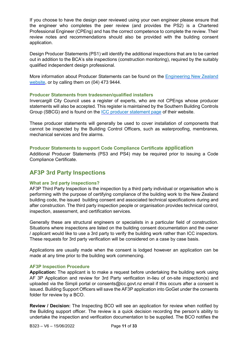If you choose to have the design peer reviewed using your own engineer please ensure that the engineer who completes the peer review (and provides the PS2) is a Chartered Professional Engineer (CPEng) and has the correct competence to complete the review. Their review notes and recommendations should also be provided with the building consent application.

Design Producer Statements (PS1) will identify the additional inspections that are to be carried out in addition to the BCA's site inspections (construction monitoring), required by the suitably qualified independent design professional.

More information about Producer Statements can be found on the [Engineering New Zealand](https://www.engineeringnz.org/resources/producer-statements/) [website,](https://www.engineeringnz.org/resources/producer-statements/) or by calling them on (04) 473 9444.

#### **Producer Statements from tradesmen/qualified installers**

Invercargill City Council uses a register of experts, who are not CPEngs whose producer statements will also be accepted. This register is maintained by the Southern Building Controls Group (SBCG) and is found on the [ICC producer statement page](https://icc.govt.nz/building/producer-statements/) [of](https://icc.govt.nz/building/producer-statements/) their website.

These producer statements will generally be used to cover installation of components that cannot be inspected by the Building Control Officers, such as waterproofing, membranes, mechanical services and fire alarms.

#### **Producer Statements to support Code Compliance Certificate application**

Additional Producer Statements (PS3 and PS4) may be required prior to issuing a Code Compliance Certificate.

## **AF3P 3rd Party Inspections**

#### **What are 3rd party inspections?**

AF3P Third Party Inspection is the inspection by a third party individual or organisation who is performing with the purpose of certifying compliance of the building work to the New Zealand building code, the issued building consent and associated technical specifications during and after construction. The third party inspection people or organisation provides technical control, inspection, assessment, and certification services.

Generally these are structural engineers or specialists in a particular field of construction. Situations where inspections are listed on the building consent documentation and the owner / applicant would like to use a 3rd party to verify the building work rather than ICC inspectors. These requests for 3rd party verification will be considered on a case by case basis.

Applications are usually made when the consent is lodged however an application can be made at any time prior to the building work commencing.

#### **AF3P Inspection Procedure**

**Application:** The applicant is to make a request before undertaking the building work using AF 3P Application and review for 3rd Party verification in-lieu of on-site inspection(s) and uploaded via the Simpli portal or consents@icc.govt.nz email if this occurs after a consent is issued. Building Support Officers will save the AF3P application into GoGet under the consents folder for review by a BCO.

**Review / Decision:** The Inspecting BCO will see an application for review when notified by the Building support officer. The review is a quick decision recording the person's ability to undertake the inspection and verification documentation to be supplied. The BCO notifies the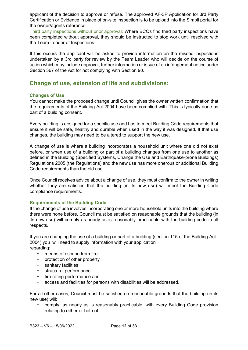applicant of the decision to approve or refuse. The approved AF-3P Application for 3rd Party Certification or Evidence in place of on-site inspection is to be upload into the Simpli portal for the owner/agents reference.

Third party inspections without prior approval: Where BCOs find third party inspections have been completed without approval, they should be instructed to stop work until resolved with the Team Leader of Inspections.

If this occurs the applicant will be asked to provide information on the missed inspections undertaken by a 3rd party for review by the Team Leader who will decide on the course of action which may include approval, further information or issue of an infringement notice under Section 367 of the Act for not complying with Section 90.

## **Change of use, extension of life and subdivisions:**

#### **Changes of Use**

You cannot make the proposed change until Council gives the owner written confirmation that the requirements of the Building Act 2004 have been complied with. This is typically done as part of a building consent.

Every building is designed for a specific use and has to meet Building Code requirements that ensure it will be safe, healthy and durable when used in the way it was designed. If that use changes, the building may need to be altered to support the new use.

A change of use is where a building incorporates a household unit where one did not exist before, or when use of a building or part of a building changes from one use to another as defined in the Building (Specified Systems, Change the Use and Earthquake-prone Buildings) Regulations 2005 (the Regulations) and the new use has more onerous or additional Building Code requirements than the old use.

Once Council receives advice about a change of use, they must confirm to the owner in writing whether they are satisfied that the building (in its new use) will meet the Building Code compliance requirements.

#### **Requirements of the Building Code**

If the change of use involves incorporating one or more household units into the building where there were none before, Council must be satisfied on reasonable grounds that the building (in its new use) will comply as nearly as is reasonably practicable with the building code in all respects.

If you are changing the use of a building or part of a building (section 115 of the Building Act 2004) you will need to supply information with your application regarding:

- means of escape from fire
- protection of other property
- sanitary facilities
- structural performance
- fire rating performance and
- access and facilities for persons with disabilities will be addressed.

For all other cases, Council must be satisfied on reasonable grounds that the building (in its new use) will:

• comply, as nearly as is reasonably practicable, with every Building Code provision relating to either or both of: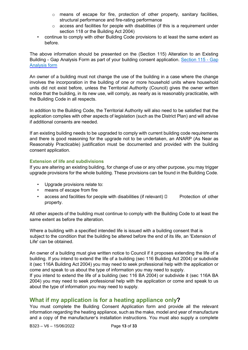- o means of escape for fire, protection of other property, sanitary facilities, structural performance and fire-rating performance
- $\circ$  access and facilities for people with disabilities (if this is a requirement under section 118 or the Building Act 2004)
- continue to comply with other Building Code provisions to at least the same extent as before.

The above information should be presented on the (Section 115) Alteration to an Existing Building - Gap Analysis Form as part of your building consent application. [Section 115](https://icc.govt.nz/wp-content/uploads/2014/10/Change-of-Use-Gap-Analysis-Table.pdf) [-](https://icc.govt.nz/wp-content/uploads/2014/10/Change-of-Use-Gap-Analysis-Table.pdf) [Gap](https://icc.govt.nz/wp-content/uploads/2014/10/Change-of-Use-Gap-Analysis-Table.pdf) [Analysis](https://icc.govt.nz/wp-content/uploads/2014/10/Change-of-Use-Gap-Analysis-Table.pdf) [fo](https://icc.govt.nz/wp-content/uploads/2014/10/Change-of-Use-Gap-Analysis-Table.pdf)rm

An owner of a building must not change the use of the building in a case where the change involves the incorporation in the building of one or more household units where household units did not exist before, unless the Territorial Authority (Council) gives the owner written notice that the building, in its new use, will comply, as nearly as is reasonably practicable, with the Building Code in all respects.

In addition to the Building Code, the Territorial Authority will also need to be satisfied that the application complies with other aspects of legislation (such as the District Plan) and will advise if additional consents are needed.

If an existing building needs to be upgraded to comply with current building code requirements and there is good reasoning for the upgrade not to be undertaken, an ANARP (As Near as Reasonably Practicable) justification must be documented and provided with the building consent application.

#### **Extension of life and subdivisions**

If you are altering an existing building, for change of use or any other purpose, you may trigger upgrade provisions for the whole building. These provisions can be found in the Building Code.

- Upgrade provisions relate to:
- means of escape from fire
- access and facilities for people with disabilities (if relevant)  $\Box$  Protection of other property.

All other aspects of the building must continue to comply with the Building Code to at least the same extent as before the alteration.

Where a building with a specified intended life is issued with a building consent that is subject to the condition that the building be altered before the end of its life, an 'Extension of Life' can be obtained.

An owner of a building must give written notice to Council if it proposes extending the life of a building. If you intend to extend the life of a building (sec 116 Building Act 2004) or subdivide it (sec 116A Building Act 2004) you may need to seek professional help with the application or come and speak to us about the type of information you may need to supply.

If you intend to extend the life of a building (sec 116 BA 2004) or subdivide it (sec 116A BA 2004) you may need to seek professional help with the application or come and speak to us about the type of information you may need to supply.

## **What if my application is for a heating appliance only?**

You must complete the Building Consent Application form and provide all the relevant information regarding the heating appliance, such as the make, model and year of manufacture and a copy of the manufacturer's installation instructions. You must also supply a complete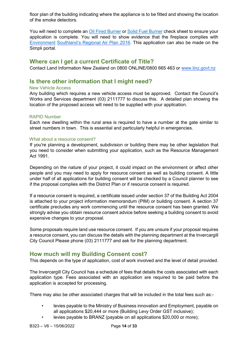floor plan of the building indicating where the appliance is to be fitted and showing the location of the smoke detectors.

You will need to complete an [Oil Fired Burner](https://icc.govt.nz/wp-content/uploads/2014/10/Oil-Fired-Burner-checklist-SBCG-19LF.pdf) [or](https://icc.govt.nz/wp-content/uploads/2014/10/Oil-Fired-Burner-checklist-SBCG-19LF.pdf) [Solid Fuel Burner](https://icc.govt.nz/wp-content/uploads/2014/10/Solid-Fuel-Burner-checklist-SBCG-19SF.pdf) [ch](https://icc.govt.nz/wp-content/uploads/2014/10/Solid-Fuel-Burner-checklist-SBCG-19SF.pdf)eck sheet to ensure your application is complete. You will need to show evidence that the fireplace complies with [Environment](https://icc.govt.nz/building/clean-air/) [Southland's Regional Air Plan 2016.](https://icc.govt.nz/building/clean-air/) This application can also be made on the Simpli portal.

## **Where can I get a current Certificate of Title?**

Contact Land Information New Zealand on 0800 ONLINE/0800 665 463 or [www.linz.govt.nz](https://www.linz.govt.nz/)

## **Is there other information that I might need?**

#### New Vehicle Access

Any building which requires a new vehicle access must be approved. Contact the Council's Works and Services department (03) 2111777 to discuss this. A detailed plan showing the location of the proposed access will need to be supplied with your applicatio[n.](https://icc.govt.nz/wp-content/uploads/2014/11/Vehicle-Crossing-Building-Consents-form.pdf) 

#### RAPID Number

Each new dwelling within the rural area is required to have a number at the gate similar to street numbers in town. This is essential and particularly helpful in emergencies.

#### What about a resource consent?

If you're planning a development, subdivision or building there may be other legislation that you need to consider when submitting your application, such as the Resource Management Act 1991.

Depending on the nature of your project, it could impact on the environment or affect other people and you may need to apply for resource consent as well as building consent. A little under half of all applications for building consent will be checked by a Council planner to see if the proposal complies with the District Plan or if resource consent is required.

If a resource consent is required, a certificate issued under section 37 of the Building Act 2004 is attached to your project information memorandum (PIM) or building consent. A section 37 certificate precludes any work commencing until the resource consent has been granted. We strongly advise you obtain resource consent advice before seeking a building consent to avoid expensive changes to your proposal.

Some proposals require land use resource consent. If you are unsure if your proposal requires a resource consent, you can discuss the details with the planning department at the Invercargill City Council Please phone (03) 2111777 and ask for the planning department.

## **How much will my Building Consent cost?**

This depends on the type of application, cost of work involved and the level of detail provided.

The Invercargill City Council has a schedule of fees that details the costs associated with each application type. Fees associated with an application are required to be paid before the application is accepted for processing.

There may also be other associated charges that will be included in the total fees such as:-

- levies payable to the Ministry of Business innovation and Employment, payable on all applications \$20,444 or more (Building Levy Order GST inclusive);
- levies payable to BRANZ (payable on all applications \$20,000 or more);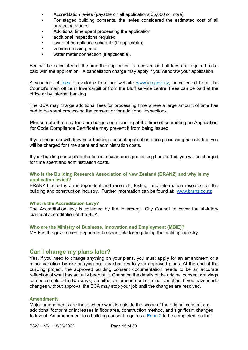- Accreditation levies (payable on all applications \$5,000 or more);
- For staged building consents, the levies considered the estimated cost of all preceding stages
- Additional time spent processing the application:
- additional inspections required
- issue of compliance schedule (if applicable);
- vehicle crossing; and
- water meter connection (if applicable).

Fee will be calculated at the time the application is received and all fees are required to be paid with the application. A cancellation charge may apply if you withdraw your application.

A schedule of [fees](https://icc.govt.nz/wp-content/uploads/2014/10/Building-fees-2017-2018.pdf) [is](https://icc.govt.nz/wp-content/uploads/2014/10/Building-fees-2017-2018.pdf) available from our website [www.icc.govt.nz,](http://www.icc.govt.nz/) or collected from The Council's main office in Invercargill or from the Bluff service centre. Fees can be paid at the office or by internet banking

The BCA may charge additional fees for processing time where a large amount of time has had to be spent processing the consent or for additional inspections.

Please note that any fees or charges outstanding at the time of submitting an Application for Code Compliance Certificate may prevent it from being issued.

If you choose to withdraw your building consent application once processing has started, you will be charged for time spent and administration costs.

If your building consent application is refused once processing has started, you will be charged for time spent and administration costs.

#### **Who is the Building Research Association of New Zealand (BRANZ) and why is my application levied?**

BRANZ Limited is an independent and research, testing, and information resource for the building and construction industry. Further information can be found at: [www.branz.co.nz](http://www.branz.co.nz/)

#### **What is the Accreditation Levy?**

The Accreditation levy is collected by the Invercargill City Council to cover the statutory biannual accreditation of the BCA.

#### **Who are the Ministry of Business, Innovation and Employment (MBIE)?**

MBIE is the government department responsible for regulating the building industry.

#### **Can I change my plans later?**

Yes, if you need to change anything on your plans, you must **apply** for an amendment or a minor variation **before** carrying out any changes to your approved plans. At the end of the building project, the approved building consent documentation needs to be an accurate reflection of what has actually been built. Changing the details of the original consent drawings can be completed in two ways, via either an amendment or minor variation. If you have made changes without approval the BCA may stop your job until the changes are resolved.

#### **Amendment**s

Major amendments are those where work is outside the scope of the original consent e.g. additional footprint or increases in floor area, construction method, and significant changes to layout. An amendment to a building consent requires a [Form 2](https://icc.govt.nz/wp-content/uploads/2014/10/SBCG-Building-consent-Application-Form-2-Enterable.pdf) [to](https://icc.govt.nz/wp-content/uploads/2014/10/SBCG-Building-consent-Application-Form-2-Enterable.pdf) be completed, so that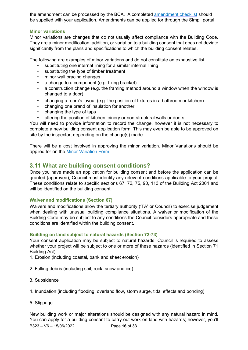the amendment can be processed by the BCA. A completed [amendment checklist](https://icc.govt.nz/wp-content/uploads/2014/10/Building-Consent-Amendments-Checklist.pdf) [sh](https://icc.govt.nz/wp-content/uploads/2014/10/Building-Consent-Amendments-Checklist.pdf)ould be supplied with your application. Amendments can be applied for through the Simpli portal

#### **Minor variations**

Minor variations are changes that do not usually affect compliance with the Building Code. They are a minor modification, addition, or variation to a building consent that does not deviate significantly from the plans and specifications to which the building consent relates.

The following are examples of minor variations and do not constitute an exhaustive list:

- substituting one internal lining for a similar internal lining
- substituting the type of timber treatment
- minor wall bracing changes
- a change to a component (e.g. fixing bracket)
- a construction change (e.g. the framing method around a window when the window is changed to a door)
- changing a room's layout (e.g. the position of fixtures in a bathroom or kitchen)
- changing one brand of insulation for another
- changing the type of taps
- altering the position of kitchen joinery or non-structural walls or doors

You will need to provide information to record the change, however it is not necessary to complete a new building consent application form. This may even be able to be approved on site by the inspector, depending on the change(s) made.

There will be a cost involved in approving the minor variation. Minor Variations should be applied for on the [Minor Variation Form.](https://icc.govt.nz/wp-content/uploads/2017/10/Minor-Variation-application.pdf) 

## **3.11 What are building consent conditions?**

Once you have made an application for building consent and before the application can be granted (approved), Council must identify any relevant conditions applicable to your project. These conditions relate to specific sections 67, 72, 75, 90, 113 of the Building Act 2004 and will be identified on the building consent.

#### **Waiver and modifications (Section 67)**

Waivers and modifications allow the tertiary authority ('TA' or Council) to exercise judgement when dealing with unusual building compliance situations. A waiver or modification of the Building Code may be subject to any conditions the Council considers appropriate and these conditions are identified within the building consent.

#### **Building on land subject to natural hazards (Section 72-73)**

Your consent application may be subject to natural hazards, Council is required to assess whether your project will be subject to one or more of these hazards (identified in Section 71 Building Act).

- 1. Erosion (including coastal, bank and sheet erosion)
- 2. Falling debris (including soil, rock, snow and ice)
- 3. Subsidence
- 4. Inundation (including flooding, overland flow, storm surge, tidal effects and ponding)
- 5. Slippage.

B323 – V6 – 15/06/2022 Page **16** of **33** New building work or major alterations should be designed with any natural hazard in mind. You can apply for a building consent to carry out work on land with hazards; however, you'll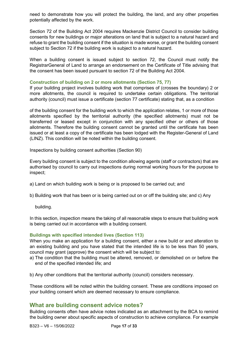need to demonstrate how you will protect the building, the land, and any other properties potentially affected by the work.

Section 72 of the Building Act 2004 requires Mackenzie District Council to consider building consents for new buildings or major alterations on land that is subject to a natural hazard and refuse to grant the building consent if the situation is made worse, or grant the building consent subject to Section 72 if the building work is subject to a natural hazard.

When a building consent is issued subject to section 72, the Council must notify the RegistrarGeneral of Land to arrange an endorsement on the Certificate of Title advising that the consent has been issued pursuant to section 72 of the Building Act 2004.

#### **Construction of building on 2 or more allotments (Section 75, 77)**

If your building project involves building work that comprises of (crosses the boundary) 2 or more allotments, the council is required to undertake certain obligations. The territorial authority (council) must issue a certificate (section 77 certificate) stating that, as a condition

of the building consent for the building work to which the application relates, 1 or more of those allotments specified by the territorial authority (the specified allotments) must not be transferred or leased except in conjunction with any specified other or others of those allotments. Therefore the building consent cannot be granted until the certificate has been issued or at least a copy of the certificate has been lodged with the Register-General of Land (LINZ). This condition will be noted within the building consent.

Inspections by building consent authorities (Section 90)

Every building consent is subject to the condition allowing agents (staff or contractors) that are authorised by council to carry out inspections during normal working hours for the purpose to inspect;

a) Land on which building work is being or is proposed to be carried out; and

b) Building work that has been or is being carried out on or off the building site; and c) Any

building.

In this section, inspection means the taking of all reasonable steps to ensure that building work is being carried out in accordance with a building consent.

#### **Buildings with specified intended lives (Section 113)**

When you make an application for a building consent, either a new build or and alteration to an existing building and you have stated that the intended life is to be less than 50 years, council may grant (approve) the consent which will be subject to:

- a) The condition that the building must be altered, removed, or demolished on or before the end of the specified intended life; and
- b) Any other conditions that the territorial authority (council) considers necessary.

These conditions will be noted within the building consent. These are conditions imposed on your building consent which are deemed necessary to ensure compliance.

#### **What are building consent advice notes?**

Building consents often have advice notes indicated as an attachment by the BCA to remind the building owner about specific aspects of construction to achieve compliance. For example

B323 – V6 – 15/06/2022 Page **17** of **33**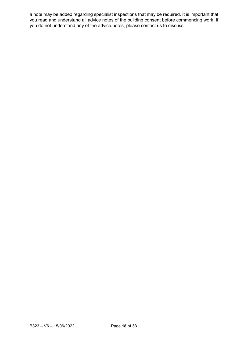a note may be added regarding specialist inspections that may be required. It is important that you read and understand all advice notes of the building consent before commencing work. If you do not understand any of the advice notes, please contact us to discuss.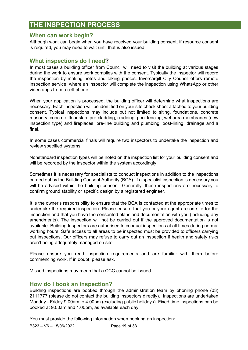# **THE INSPECTION PROCESS**

#### **When can work begin?**

Although work can begin when you have received your building consent, if resource consent is required, you may need to wait until that is also issued.

#### **What inspections do I need?**

In most cases a building officer from Council will need to visit the building at various stages during the work to ensure work complies with the consent. Typically the inspector will record the inspection by making notes and taking photos. Invercargill City Council offers remote inspection service, where an inspector will complete the inspection using WhatsApp or other video apps from a cell phone.

When your application is processed, the building officer will determine what inspections are necessary. Each inspection will be identified on your site check sheet attached to your building consent. Typical inspections may include but not limited to siting, foundations, concrete masonry, concrete floor slab, pre-cladding, cladding, pool fencing, wet area membranes (new inspection type) and fireplaces, pre-line building and plumbing, post-lining, drainage and a final.

In some cases commercial finals will require two inspectors to undertake the inspection and review specified systems.

Nonstandard inspection types will be noted on the inspection list for your building consent and will be recorded by the inspector within the system accordingly

Sometimes it is necessary for specialists to conduct inspections in addition to the inspections carried out by the Building Consent Authority (BCA). If a specialist inspection is necessary you will be advised within the building consent. Generally, these inspections are necessary to confirm ground stability or specific design by a registered engineer.

It is the owner's responsibility to ensure that the BCA is contacted at the appropriate times to undertake the required inspection. Please ensure that you or your agent are on site for the inspection and that you have the consented plans and documentation with you (including any amendments). The inspection will not be carried out if the approved documentation is not available. Building Inspectors are authorised to conduct inspections at all times during normal working hours. Safe access to all areas to be inspected must be provided to officers carrying out inspections. Our officers may refuse to carry out an inspection if health and safety risks aren't being adequately managed on site.

Please ensure you read inspection requirements and are familiar with them before commencing work. If in doubt, please ask.

Missed inspections may mean that a CCC cannot be issued.

#### **How do I book an inspection?**

Building inspections are booked through the administration team by phoning phone (03) 2111777 (please do not contact the building inspectors directly). Inspections are undertaken Monday - Friday 9.00am to 4.00pm (excluding public holidays). Fixed time inspections can be booked at 9.00am and 1.00pm, as available each day.

You must provide the following information when booking an inspection:

B323 – V6 – 15/06/2022 Page **19** of **33**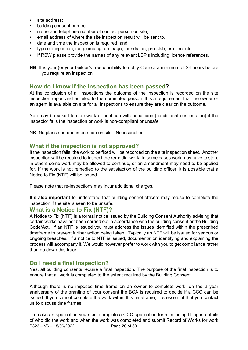- site address;
- building consent number;
- name and telephone number of contact person on site;
- email address of where the site inspection result will be sent to.
- date and time the inspection is required; and
- type of inspection, i.e. plumbing, drainage, foundation, pre-slab, pre-line, etc.
- If RBW please provide the names of any relevant LBP's including licence references.

**NB**: It is your (or your builder's) responsibility to notify Council a minimum of 24 hours before you require an inspection.

#### **How do I know if the inspection has been passed?**

At the conclusion of all inspections the outcome of the inspection is recorded on the site inspection report and emailed to the nominated person. It is a requirement that the owner or an agent is available on site for all inspections to ensure they are clear on the outcome.

You may be asked to stop work or continue with conditions (conditional continuation) if the inspector fails the inspection or work is non-compliant or unsafe.

NB: No plans and documentation on site - No inspection.

#### **What if the inspection is not approved?**

If the inspection fails, the work to be fixed will be recorded on the site inspection sheet. Another inspection will be required to inspect the remedial work. In some cases work may have to stop, in others some work may be allowed to continue, or an amendment may need to be applied for. If the work is not remedied to the satisfaction of the building officer, it is possible that a Notice to Fix (NTF) will be issued.

Please note that re-inspections may incur additional charges.

It's also important to understand that building control officers may refuse to complete the inspection if the site is seen to be unsafe.

#### **What is a Notice to Fix (NTF)?**

A Notice to Fix (NTF) is a formal notice issued by the Building Consent Authority advising that certain works have not been carried out in accordance with the building consent or the Building Code/Act. If an NTF is issued you must address the issues identified within the prescribed timeframe to prevent further action being taken. Typically an NTF will be issued for serious or ongoing breaches. If a notice to NTF is issued, documentation identifying and explaining the process will accompany it. We would however prefer to work with you to get compliance rather than go down this track.

#### **Do I need a final inspection?**

Yes, all building consents require a final inspection. The purpose of the final inspection is to ensure that all work is completed to the extent required by the Building Consent.

Although there is no imposed time frame on an owner to complete work, on the 2 year anniversary of the granting of your consent the BCA is required to decide if a CCC can be issued. If you cannot complete the work within this timeframe, it is essential that you contact us to discuss time frames.

B323 – V6 – 15/06/2022 Page **20** of **33** To make an application you must complete a CCC application form including filling in details of who did the work and when the work was completed and submit Record of Works for work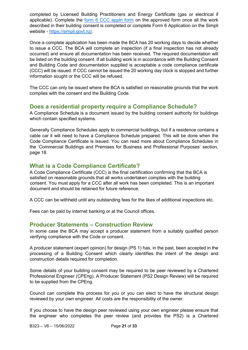completed by Licensed Building Practitioners and Energy Certificate (gas or electrical if applicable). Complete th[e](https://icc.govt.nz/wp-content/uploads/2014/10/Code-Compliance-Certificate-Form-6.doc) [form 6 CCC appln form](https://icc.govt.nz/wp-content/uploads/2014/10/Code-Compliance-Certificate-Form-6.doc) [on](https://icc.govt.nz/wp-content/uploads/2014/10/Code-Compliance-Certificate-Form-6.doc) the approved form once all the work described in their building consent is completed or complete Form 6 Application on the Simpli website - [https://simpli.govt.nz/.](https://simpli.govt.nz/) 

Once a complete application has been made the BCA has 20 working days to decide whether to issue a CCC. The BCA will complete an inspection (if a final inspection has not already occurred) and ensure all documentation has been received. The required documentation will be listed on the building consent. If all building work is in accordance with the Building Consent and Building Code and documentation supplied is acceptable a code compliance certificate (CCC) will be issued. If CCC cannot be issued the 20 working day clock is stopped and further information sought or the CCC will be refused.

The CCC can only be issued where the BCA is satisfied on reasonable grounds that the work complies with the consent and the Building Code.

## **Does a residential property require a Compliance Schedule?**

A Compliance Schedule is a document issued by the building consent authority for buildings which contain specified systems.

Generally Compliance Schedules apply to commercial buildings, but if a residence contains a cable car it will need to have a Compliance Schedule prepared. This will be done when the Code Compliance Certificate is issued. You can read more about Compliance Schedules in the 'Commercial Buildings and Premises for Business and Professional Purposes' section, page 18.

## **What is a Code Compliance Certificate?**

A Code Compliance Certificate (CCC) is the final certification confirming that the BCA is satisfied on reasonable grounds that all works undertaken complies with the building consent. You must apply for a CCC after all work has been completed. This is an important document and should be retained for future reference.

A CCC can be withheld until any outstanding fees for the likes of additional inspections etc.

Fees can be paid by internet banking or at the Council offices.

#### **Producer Statements – Construction Review**

In some case the BCA may accept a producer statement from a suitably qualified person verifying compliance with the Code or consent.

A producer statement (expert opinion) for design (PS 1) has, in the past, been accepted in the processing of a Building Consent which clearly identifies the intent of the design and construction details required for completion.

Some details of your building consent may be required to be peer reviewed by a Chartered Professional Engineer (CPEng). A Producer Statement (PS2 Design Review) will be required to be supplied from the CPEng.

Council can complete this process for you or you can elect to have the structural design reviewed by your own engineer. All costs are the responsibility of the owner.

If you choose to have the design peer reviewed using your own engineer please ensure that the engineer who completes the peer review (and provides the PS2) is a Chartered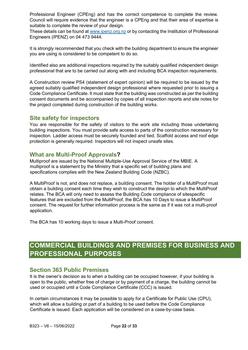Professional Engineer (CPEng) and has the correct competence to complete the review. Council will require evidence that the engineer is a CPEng and that their area of expertise is suitable to complete the review of your design.

These details can be found at www.ipenz.org.nz or by contacting the Institution of Professional Engineers (IPENZ) on 04 473 9444.

It is strongly recommended that you check with the building department to ensure the engineer you are using is considered to be competent to do so.

Identified also are additional inspections required by the suitably qualified independent design professional that are to be carried out along with and including BCA inspection requirements.

A Construction review PS4 (statement of expert opinion) will be required to be issued by the agreed suitably qualified independent design professional where requested prior to issuing a Code Compliance Certificate. It must state that the building was constructed as per the building consent documents and be accompanied by copies of all inspection reports and site notes for the project completed during construction of the building works.

#### **Site safety for inspectors**

You are responsible for the safety of visitors to the work site including those undertaking building inspections. You must provide safe access to parts of the construction necessary for inspection. Ladder access must be securely founded and tied. Scaffold access and roof edge protection is generally required. Inspectors will not inspect unsafe sites.

#### **What are Multi-Proof Approvals?**

Multiproof are issued by the National Multiple-Use Approval Service of the MBIE. A multiproof is a statement by the Ministry that a specific set of building plans and specifications complies with the New Zealand Building Code (NZBC).

A MultiProof is not, and does not replace, a building consent. The holder of a MultiProof must obtain a building consent each time they wish to construct the design to which the MultiProof relates. The BCA will only need to assess the Building Code compliance of sitespecific features that are excluded from the MultiProof, the BCA has 10 Days to issue a MultiProof consent. The request for further information process is the same as if it was not a multi-proof application.

The BCA has 10 working days to issue a Multi-Proof consent.

# **COMMERCIAL BUILDINGS AND PREMISES FOR BUSINESS AND PROFESSIONAL PURPOSES**

#### **Section 363 Public Premises**

It is the owner's decision as to when a building can be occupied however, if your building is open to the public, whether free of charge or by payment of a charge, the building cannot be used or occupied until a Code Compliance Certificate (CCC) is issued.

In certain circumstances it may be possible to apply for a Certificate for Public Use (CPU), which will allow a building or part of a building to be used before the Code Compliance Certificate is issued. Each application will be considered on a case-by-case basis.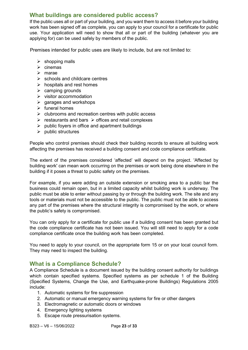## **What buildings are considered public access?**

If the public uses all or part of your building, and you want them to access it before your building work has been signed off as complete, you can apply to your council for a certificate for public use. Your application will need to show that all or part of the building (whatever you are applying for) can be used safely by members of the public.

Premises intended for public uses are likely to include, but are not limited to:

- $\triangleright$  shopping malls
- $\triangleright$  cinemas
- $\triangleright$  marae
- $\triangleright$  schools and childcare centres
- $\triangleright$  hospitals and rest homes
- $\triangleright$  camping grounds
- $\triangleright$  visitor accommodation
- $\triangleright$  garages and workshops
- $\triangleright$  funeral homes
- $\triangleright$  clubrooms and recreation centres with public access
- $\triangleright$  restaurants and bars  $\triangleright$  offices and retail complexes
- $\triangleright$  public fovers in office and apartment buildings
- $\triangleright$  public structures

People who control premises should check their building records to ensure all building work affecting the premises has received a building consent and code compliance certificate.

The extent of the premises considered 'affected' will depend on the project. 'Affected by building work' can mean work occurring on the premises or work being done elsewhere in the building if it poses a threat to public safety on the premises.

For example, if you were adding an outside extension or smoking area to a public bar the business could remain open, but in a limited capacity whilst building work is underway. The public must be able to enter without passing by or through the building work. The site and any tools or materials must not be accessible to the public. The public must not be able to access any part of the premises where the structural integrity is compromised by the work, or where the public's safety is compromised.

You can only apply for a certificate for public use if a building consent has been granted but the code compliance certificate has not been issued. You will still need to apply for a code compliance certificate once the building work has been completed.

You need to apply to your council, on the appropriate form 15 or on your local council form. They may need to inspect the building.

#### **What is a Compliance Schedule?**

A Compliance Schedule is a document issued by the building consent authority for buildings which contain specified systems. Specified systems as per schedule 1 of the Building (Specified Systems, Change the Use, and Earthquake-prone Buildings) Regulations 2005 include:

- 1. Automatic systems for fire suppression
- 2. Automatic or manual emergency warning systems for fire or other dangers
- 3. Electromagnetic or automatic doors or windows
- 4. Emergency lighting systems
- 5. Escape route pressurisation systems.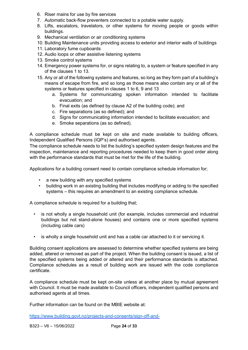- 6. Riser mains for use by fire services
- 7. Automatic back-flow preventers connected to a potable water supply.
- 8. Lifts, escalators, travelators, or other systems for moving people or goods within buildings.
- 9. Mechanical ventilation or air conditioning systems
- 10. Building Maintenance units providing access to exterior and interior walls of buildings
- 11. Laboratory fume cupboards
- 12. Audio loops or other assistive listening systems
- 13. Smoke control systems
- 14. Emergency power systems for, or signs relating to, a system or feature specified in any of the clauses 1 to 13.
- 15. Any or all of the following systems and features, so long as they form part of a building's means of escape from fire, and so long as those means also contain any or all of the systems or features specified in clauses 1 to 6, 9 and 13
	- a. Systems for communicating spoken information intended to facilitate evacuation; and
	- b. Final exits (as defined by clause A2 of the building code); and
	- c. Fire separations (as so defined); and
	- d. Signs for communicating information intended to facilitate evacuation; and
	- e. Smoke separations (as so defined).

A compliance schedule must be kept on site and made available to building officers, Independent Qualified Persons (IQP's) and authorised agents.

The compliance schedule needs to list the building's specified system design features and the inspection, maintenance and reporting procedures needed to keep them in good order along with the performance standards that must be met for the life of the building.

Applications for a building consent need to contain compliance schedule information for;

- a new building with any specified systems
- building work in an existing building that includes modifying or adding to the specified systems – this requires an amendment to an existing compliance schedule.

A compliance schedule is required for a building that;

- is not wholly a single household unit (for example, includes commercial and industrial buildings but not stand-alone houses) and contains one or more specified systems (including cable cars)
- is wholly a single household unit and has a cable car attached to it or servicing it.

Building consent applications are assessed to determine whether specified systems are being added, altered or removed as part of the project. When the building consent is issued, a list of the specified systems being added or altered and their performance standards is attached. Compliance schedules as a result of building work are issued with the code compliance certificate.

A compliance schedule must be kept on-site unless at another place by mutual agreement with Council. It must be made available to Council officers, independent qualified persons and authorised agents at all times.

Further information can be found on the MBIE website at:

[https://www.building.govt.nz/projects-and-consents/sign-off-and-](https://www.building.govt.nz/projects-and-consents/sign-off-and-maintenance/completing-your-project/compliance-schedules/#jumpto-compliance-schedule-content)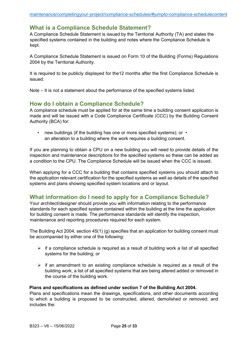#### **What is a Compliance Schedule Statement?**

A Compliance Schedule Statement is issued by the Territorial Authority (TA) and states the specified systems contained in the building and notes where the Compliance Schedule is kept.

A Compliance Schedule Statement is issued on Form 10 of the Building (Forms) Regulations 2004 by the Territorial Authority.

It is required to be publicly displayed for the12 months after the first Compliance Schedule is issued.

Note – It is not a statement about the performance of the specified systems listed.

#### **How do I obtain a Compliance Schedule?**

A compliance schedule must be applied for at the same time a building consent application is made and will be issued with a Code Compliance Certificate (CCC) by the Building Consent Authority (BCA) for:

• new buildings (if the building has one or more specified systems); or • an alteration to a building where the work requires a building consent.

If you are planning to obtain a CPU on a new building you will need to provide details of the inspection and maintenance descriptions for the specified systems so these can be added as a condition to the CPU. The Compliance Schedule will be issued when the CCC is issued.

When applying for a CCC for a building that contains specified systems you should attach to the [application](https://icc.govt.nz/wp-content/uploads/2014/10/SBCG27-Compliance-Schedule-Specified-Systems-Form-and-Systems-Guidance-Form.pdf) [re](https://icc.govt.nz/wp-content/uploads/2014/10/SBCG27-Compliance-Schedule-Specified-Systems-Form-and-Systems-Guidance-Form.pdf)levant certification for the specified systems as well as details of the specified systems and plans showing specified system locations and or layout.

## **What information do I need to apply for a Compliance Schedule?**

Your architect/designer should provide you with information relating to the performance standards for each specified system contained within the building at the time the application for building consent is made. The performance standards will identify the inspection, maintenance and reporting procedures required for each system.

The Building Act 2004, section 45(1) (g) specifies that an application for building consent must be accompanied by either one of the following:

- $\triangleright$  if a compliance schedule is required as a result of building work a list of all specified systems for the building; or
- $\triangleright$  if an amendment to an existing compliance schedule is required as a result of the building work, a list of all specified systems that are being altered added or removed in the course of the building work.

#### **Plans and specifications as defined under section 7 of the Building Act 2004.**

Plans and specifications mean the drawings, specifications, and other documents according to which a building is proposed to be constructed, altered, demolished or removed; and includes the: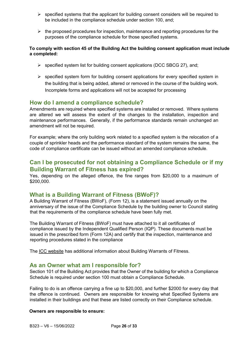- $\triangleright$  specified systems that the applicant for building consent considers will be required to be included in the compliance schedule under section 100, and;
- $\triangleright$  the proposed procedures for inspection, maintenance and reporting procedures for the purposes of the compliance schedule for those specified systems.

#### **To comply with section 45 of the Building Act the building consent application must include a completed:**

- $\triangleright$  specified system list for building consent applications (DCC SBCG 27), and;
- $\triangleright$  specified system form for building consent applications for every specified system in the building that is being added, altered or removed in the course of the building work. Incomplete forms and applications will not be accepted for processing

#### **How do I amend a compliance schedule?**

Amendments are required where specified systems are installed or removed. Where systems are altered we will assess the extent of the changes to the installation, inspection and maintenance performances. Generally, if the performance standards remain unchanged an amendment will not be required.

For example; where the only building work related to a specified system is the relocation of a couple of sprinkler heads and the performance standard of the system remains the same, the code of compliance certificate can be issued without an amended compliance schedule.

## **Can I be prosecuted for not obtaining a Compliance Schedule or if my Building Warrant of Fitness has expired?**

Yes, depending on the alleged offence, the fine ranges from \$20,000 to a maximum of \$200,000.

## **What is a Building Warrant of Fitness (BWoF)?**

A Building Warrant of Fitness (BWoF), (Form 12), is a statement issued annually on the anniversary of the issue of the Compliance Schedule by the building owner to Council stating that the requirements of the compliance schedule have been fully met.

The Building Warrant of Fitness (BWoF) must have attached to it all certificates of compliance issued by the Independent Qualified Person (IQP). These documents must be issued in the prescribed form (Form 12A) and certify that the inspection, maintenance and reporting procedures stated in the compliance

The [ICC website](https://icc.govt.nz/building/warrant-of-fitness/) [ha](https://icc.govt.nz/building/warrant-of-fitness/)s additional information about Building Warrants of Fitness.

#### **As an Owner what am I responsible for?**

Section 101 of the Building Act provides that the Owner of the building for which a Compliance Schedule is required under section 100 must obtain a Compliance Schedule.

Failing to do is an offence carrying a fine up to \$20,000, and further \$2000 for every day that the offence is continued. Owners are responsible for knowing what Specified Systems are installed in their buildings and that these are listed correctly on their Compliance schedule.

#### **Owners are responsible to ensure:**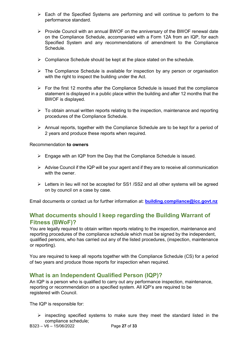- $\triangleright$  Each of the Specified Systems are performing and will continue to perform to the performance standard.
- $\triangleright$  Provide Council with an annual BWOF on the anniversary of the BWOF renewal date on the Compliance Schedule, accompanied with a Form 12A from an IQP, for each Specified System and any recommendations of amendment to the Compliance **Schedule**
- $\triangleright$  Compliance Schedule should be kept at the place stated on the schedule.
- $\triangleright$  The Compliance Schedule is available for inspection by any person or organisation with the right to inspect the building under the Act.
- $\triangleright$  For the first 12 months after the Compliance Schedule is issued that the compliance statement is displayed in a public place within the building and after 12 months that the BWOF is displayed.
- $\triangleright$  To obtain annual written reports relating to the inspection, maintenance and reporting procedures of the Compliance Schedule.
- $\triangleright$  Annual reports, together with the Compliance Schedule are to be kept for a period of 2 years and produce these reports when required.

#### Recommendation **to owners**

- $\triangleright$  Engage with an IQP from the Day that the Compliance Schedule is issued.
- $\triangleright$  Advise Council if the IQP will be your agent and if they are to receive all communication with the owner.
- $\triangleright$  Letters in lieu will not be accepted for SS1 /SS2 and all other systems will be agreed on by council on a case by case.

Email documents or contact us for further information at: **building.compliance@icc.govt.nz**

## **What documents should I keep regarding the Building Warrant of Fitness (BWoF)?**

You are legally required to obtain written reports relating to the inspection, maintenance and reporting procedures of the compliance schedule which must be signed by the independent, qualified persons, who has carried out any of the listed procedures, (inspection, maintenance or reporting).

You are required to keep all reports together with the Compliance Schedule (CS) for a period of two years and produce those reports for inspection when required.

## **What is an Independent Qualified Person (IQP)?**

An IQP is a person who is qualified to carry out any performance inspection, maintenance, reporting or recommendation on a specified system. All IQP's are required to be registered with Council.

The IQP is responsible for:

 $\triangleright$  inspecting specified systems to make sure they meet the standard listed in the compliance schedule;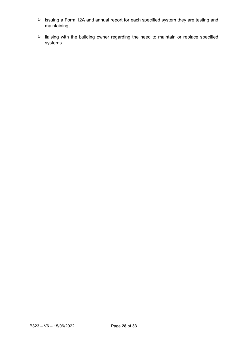- issuing a Form 12A and annual report for each specified system they are testing and maintaining;
- $\triangleright$  liaising with the building owner regarding the need to maintain or replace specified systems.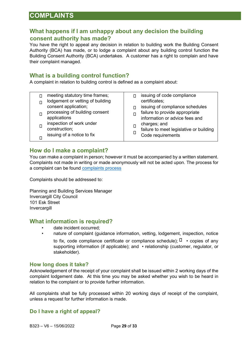## **COMPLAINTS**

## **What happens if I am unhappy about any decision the building consent authority has made?**

You have the right to appeal any decision in relation to building work the Building Consent Authority (BCA) has made, or to lodge a complaint about any building control function the Building Consent Authority (BCA) undertakes. A customer has a right to complain and have their complaint managed.

## **What is a building control function?**

A complaint in relation to building control is defined as a complaint about:

| meeting statutory time frames;<br>lodgement or vetting of building | issuing of code compliance<br>certificates;                      |
|--------------------------------------------------------------------|------------------------------------------------------------------|
| consent application;                                               | issuing of compliance schedules                                  |
| processing of building consent<br>applications                     | failure to provide appropriate<br>information or advice fees and |
| inspection of work under<br>construction;                          | charges; and<br>failure to meet legislative or building          |
| issuing of a notice to fix                                         | Code requirements                                                |

#### **How do I make a complaint?**

You can make a complaint in person; however it must be accompanied by a written statement. Complaints not made in writing or made anonymously will not be acted upon. The process for a complaint can be found [complaints process](https://icc.govt.nz/building/building-complaints/)

Complaints should be addressed to:

Planning and Building Services Manager Invercargill City Council 101 Esk Street **Invercargill** 

#### **What information is required?**

- date incident occurred;
- nature of complaint (guidance information, vetting, lodgement, inspection, notice to fix, code compliance certificate or compliance schedule);  $\Box \cdot$  copies of any supporting information (if applicable); and • relationship (customer, regulator, or stakeholder).

#### **How long does it take?**

Acknowledgement of the receipt of your complaint shall be issued within 2 working days of the complaint lodgement date. At this time you may be asked whether you wish to be heard in relation to the complaint or to provide further information.

All complaints shall be fully processed within 20 working days of receipt of the complaint, unless a request for further information is made.

#### **Do I have a right of appeal?**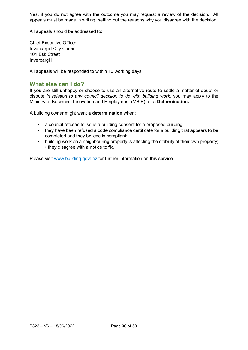Yes, if you do not agree with the outcome you may request a review of the decision. All appeals must be made in writing, setting out the reasons why you disagree with the decision.

All appeals should be addressed to:

Chief Executive Officer Invercargill City Council 101 Esk Street Invercargill

All appeals will be responded to within 10 working days.

#### **What else can I do?**

If you are still unhappy or choose to use an alternative route to settle a matter of doubt or dispute *in relation to any council decision to do with building work,* you may apply to the Ministry of Business, Innovation and Employment (MBIE) for a **Determination.** 

A building owner might want **a determination** when;

- a council refuses to issue a building consent for a proposed building;
- they have been refused a code compliance certificate for a building that appears to be completed and they believe is compliant;
- building work on a neighbouring property is affecting the stability of their own property; • they disagree with a notice to fix.

Please visit [www.building.govt.nz](http://www.building.govt.nz/) [fo](http://www.building.govt.nz/)r further information on this service.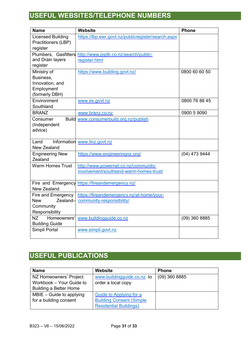# **USEFUL WEBSITES/TELEPHONE NUMBERS**

| <b>Name</b>                                                                 | <b>Website</b>                                                                  | <b>Phone</b>    |
|-----------------------------------------------------------------------------|---------------------------------------------------------------------------------|-----------------|
| <b>Licensed Building</b><br>Practitioners (LBP)<br>register                 | https://lbp.ewr.govt.nz/publicregister/search.aspx                              |                 |
| Plumbers, Gasfitters<br>and Drain layers<br>register                        | http://www.pgdb.co.nz/search/public-<br>register.html                           |                 |
| Ministry of<br>Business,<br>Innovation, and<br>Employment<br>(formerly DBH) | https://www.building.govt.nz/                                                   | 0800 60 60 50   |
| Environment<br>Southland                                                    | www.es.govt.nz                                                                  | 0800 76 88 45   |
| <b>BRANZ</b>                                                                | www.branz.co.nz                                                                 | 0900 5 9090     |
| Consumer<br>(Independent<br>advice)                                         | Build www.consumerbuild.org.nz/publish                                          |                 |
| Information<br>Land<br><b>New Zealand</b>                                   | www.linz.govt.nz                                                                |                 |
| <b>Engineering New</b><br>Zealand                                           | https://www.engineeringnz.org/                                                  | $(04)$ 473 9444 |
| <b>Warm Homes Trust</b>                                                     | http://www.powernet.co.nz/community-<br>involvement/southland-warm-homes-trust/ |                 |
| Fire and Emergency<br>New Zealand                                           | https://fireandemergency.nz/                                                    |                 |
| Fire and Emergency<br>Zealand-<br>New<br>Community<br>Responsibility        | https://fireandemergency.nz/at-home/your-<br>community-responsibility/          |                 |
| <b>NZ</b><br>Homeowners'<br><b>Building Guide</b>                           | www.buildingguide.co.nz                                                         | $(09)$ 360 8885 |
| Simpli Portal                                                               | www.simpli.govt.nz                                                              |                 |

# **USEFUL PUBLICATIONS**

| <b>Name</b>                   | <b>Website</b>                   | <b>Phone</b>    |
|-------------------------------|----------------------------------|-----------------|
| NZ Homeowners' Project        | www.buildingquide.co.nz to       | $(09)$ 360 8885 |
| Workbook - Your Guide to      | order a local copy               |                 |
| <b>Building a Better Home</b> |                                  |                 |
| $MBIE - Guide to applying$    | Guide to Applying for a          |                 |
| for a building consent        | <b>Building Consent (Simple)</b> |                 |
|                               | <b>Residential Buildings)</b>    |                 |